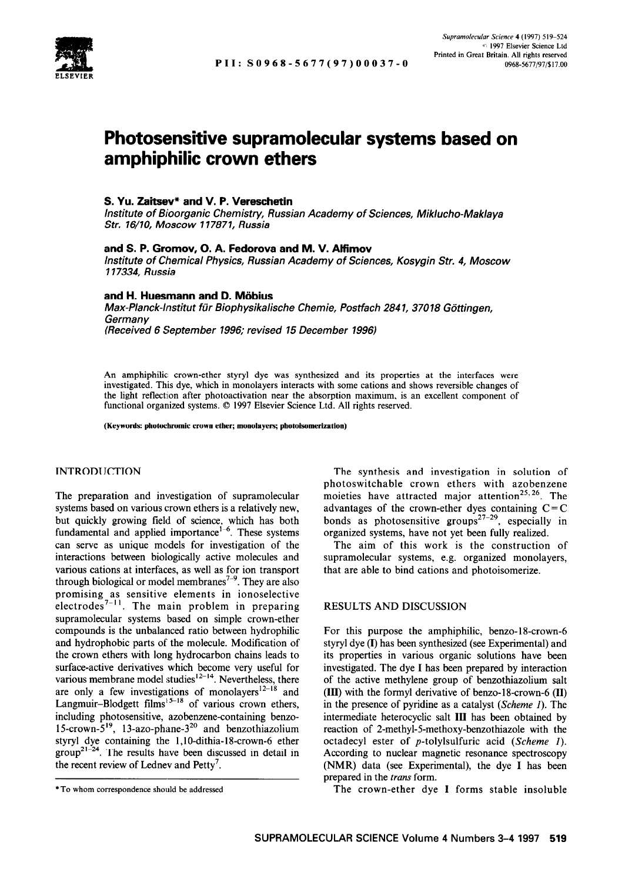

# **Photosensitive supramolecular systems based on amphiphilic crown ethers**

# **S. Yu. Zaitsev\* and V. P. Vereschetin**

*Institute of Bioorganic Chemistry, Russian Academy of Sciences, Miklucho-Maklaya Str. 76/10, Moscow 117871, Russia* 

## **and S. P. Gromov, 0. A. Fedorova and M. V. Alfimov**

*Institute of Chemical Physics, Russian Academy of Sciences, Kosygin Str. 4, Moscow 117334, Russia* 

## **and H. Huesmann and D. Miibius**

*Max-Planck-lnstitut fiir Bioph ysikalische Chemie, Postfach 284 1, 370 18 Gtittingen, Germany (Received 6 September 1996; revised 15 December 1996)* 

An amphiphilic: crown-ether styryl dye was synthesized and its properties at the interfaces were investigated. This dye, which in monolayers interacts with some cations and shows reversible changes of the light reflection after photoactivation near the absorption maximum, is an excellent component of functional organized systems.  $© 1997$  Elsevier Science Ltd. All rights reserved.

**(Keywords: photochromic crown ether; monolayers; photoisomerizatioo)** 

## INTRODUCTION

The preparation and investigation of supramolecular systems based on various crown ethers is a relatively new, but quickly growing field of science, which has both fundamental and applied importance<sup> $1-6$ </sup>. These systems can serve as unique models for investigation of the interactions between biologically active molecules and various cations at interfaces, as well as for ion transport through biological or model membranes<sup> $7-9$ </sup>. They are also promising as sensitive elements in ionoselectiv electrodes<sup>7-11</sup>. The main problem in preparin supramolecular systems based on simple crown-ether compounds is the unbalanced ratio between hydrophilic and hydrophobic parts of the molecule. Modification of the crown ethers with long hydrocarbon chains leads to surface-active derivatives which become very useful for various membrane model studies $12-14$ . Nevertheless, there are only a few investigations of monolayers<sup> $2-18$ </sup> and Langmuir–Blodgett films<sup> $5-18$ </sup> of various crown ethers, including photosensitive, azobenzene-containing benzo-1 5-crown-5'9, 1 3-azo-phane-320 and benzothiazolium styryl dye containing the l,lO-dithia-18-crown-6 ether  $group^{21-24}$ . The results have been discussed in detail in the recent review of Lednev and Petty'.

The synthesis and investigation in solution of photoswitchable crown ethers with azobenzene moieties have attracted major attention<sup>25,26</sup>. The advantages of the crown-ether dyes containing  $C = C$ bonds as photosensitive groups<sup>27-29</sup>, especially in organized systems, have not yet been fully realized.

The aim of this work is the construction of supramolecular systems, e.g. organized monolayers, that are able to bind cations and photoisomerize.

# RESULTS AND DISCUSSION

For this purpose the amphiphilic, benzo-18-crown-6 styryl dye (I) has been synthesized (see Experimental) and its properties in various organic solutions have been investigated. The dye I has been prepared by interaction of the active methylene group of benzothiazolium salt (III) with the formyl derivative of benzo-18-crown-6 (II) in the presence of pyridine as a catalyst (Scheme I). The intermediate heterocyclic salt III has been obtained by reaction of 2-methyl-5-methoxy-benzothiazole with the octadecyl ester of p-tolylsulfuric acid (Scheme I). According to nuclear magnetic resonance spectroscopy (NMR) data (see Experimental), the dye I has been prepared in the trans form.

\*To whom correspondence should be addressed The crown-ether dye I forms stable insoluble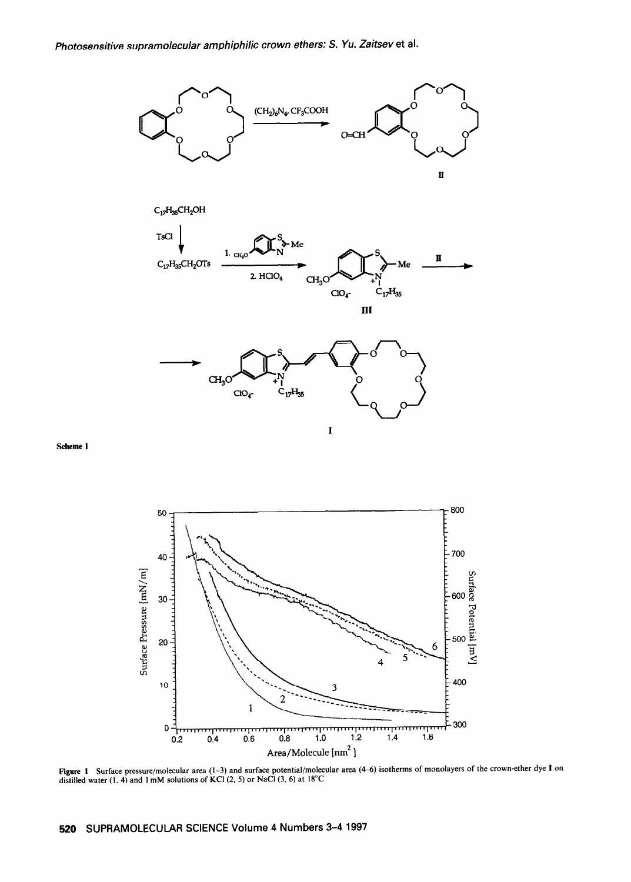

**Scheme 1** 



Figure I Surface pressure/molecular area **(l-3)** and surface potential/molecular area (46) isotherms of monolayers of the crown-ether dye 1 on distilled water (1, 4) and  $1 \text{ mM}$  solutions of KCl (2, 5) or NaCl (3, 6) at  $18^{\circ}\text{C}$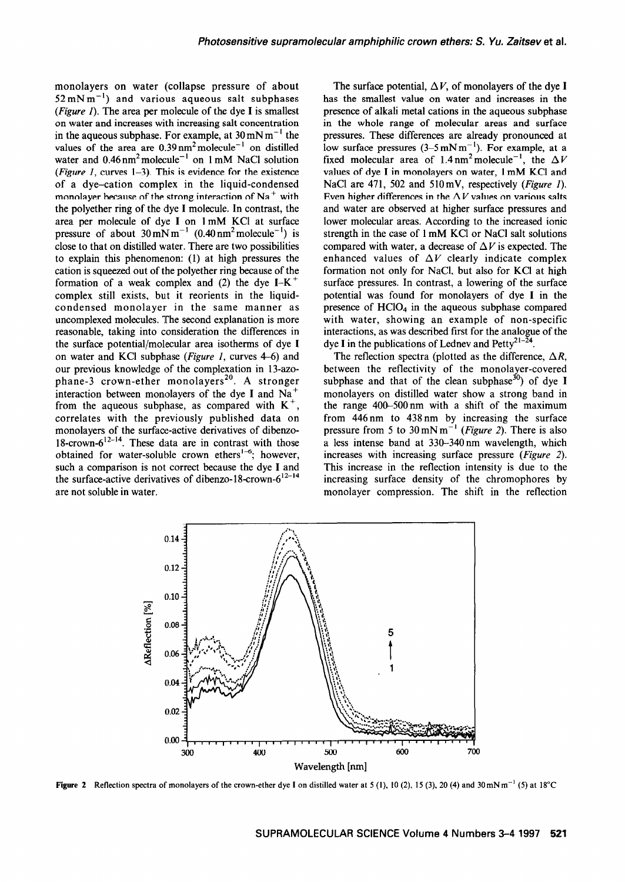monolayers on water (collapse pressure of about  $52 \text{ mN m}^{-1}$ ) and various aqueous salt subphases (Figure 1). The area per molecule of the dye **I** is smallest on water and increases with increasing salt concentration in the aqueous subphase. For example, at  $30 \text{ mN m}^{-1}$  the values of the area are  $0.39 \text{ nm}^2 \text{ molecule}^{-1}$  on distilled water and  $0.46 \text{ nm}^2$  molecule<sup>-1</sup> on 1 mM NaCl solution (Figure 1, curves  $1-3$ ). This is evidence for the existence of a dye-cation complex in the liquid-condensed monolayer because of the strong interaction of  $Na<sup>+</sup>$  with the polyether ring of the dye **I** molecule. In contrast, the area per molecule of dye **I** on 1 mM KC1 at surface pressure of about  $30 \text{ mN m}^{-1}$  (0.40 nm<sup>2</sup> molecule<sup>-1</sup>) is close to that on distilled water. There are two possibilities to explain this phenomenon: (1) at high pressures the cation is squeezed out of the polyether ring because of the formation of a weak complex and (2) the dye  $I-K^+$ complex still exists, but it reorients in the liquidcondensed monolayer in the same manner as uncomplexed molecules. The second explanation is more reasonable, taking into consideration the differences in the surface potential/molecular area isotherms of dye  $I$ on water and KCl subphase (*Figure 1*, curves  $4-6$ ) and our previous knowledge of the complexation in 13-azophane-3 crown-ether monolayers<sup>20</sup>. A stronger interaction between monolayers of the dye I and Na<sup>+</sup> from the aqueous subphase, as compared with  $K^+$ , correlates with the previously published data on monolayers of the surface-active derivatives of dibenzo-18-crown- $6^{12-14}$ . These data are in contrast with those obtained for water-soluble crown ethers<sup>1-6</sup>; however, such a comparison is not correct because the dye **I** and the surface-active derivatives of dibenzo-18-crown- $6^{12-14}$ are not soluble in water.

The surface potential,  $\Delta V$ , of monolayers of the dye **I** has the smallest value on water and increases in the presence of alkali metal cations in the aqueous subphase in the whole range of molecular areas and surface pressures. These differences are already pronounced at low surface pressures  $(3-5 \text{ mN m}^{-1})$ . For example, at a fixed molecular area of 1.4 nm<sup>2</sup> molecule<sup>-1</sup>, the  $\Delta V$ values of dye I in monolayers on water, 1 mM KCl and NaCl are 471, 502 and 510 mV, respectively (*Figure 1*). Even higher differences in the  $\Delta V$  values on various salts and water are observed at higher surface pressures and lower molecular areas. According to the increased ionic strength in the case of 1 mM KC1 or NaCl salt solutions compared with water, a decrease of  $\Delta V$  is expected. The enhanced values of  $\Delta V$  clearly indicate complex formation not only for NaCl, but also for KCl at high surface pressures. In contrast, a lowering of the surface potential was found for monolayers of dye **I** in the presence of HClO<sub>4</sub> in the aqueous subphase compared with water, showing an example of non-specific interactions, as was described first for the analogue of the dye I in the publications of Lednev and Petty<sup>21-24</sup>.

The reflection spectra (plotted as the difference,  $\Delta R$ , between the reflectivity of the monolayer-covered subphase and that of the clean subphase<sup>30</sup>) of dye I monolayers on distilled water show a strong band in the range 400-500nm with a shift of the maximum from 446nm to 438 nm by increasing the surface pressure from 5 to 30mNm-' *(Figure* 2). There is also a less intense band at 330-340 nm wavelength, which increases with increasing surface pressure *(Figure* 2). This increase in the reflection intensity is due to the increasing surface density of the chromophores by monolayer compression. The shift in the reflection



**Figure 2** Reflection spectra of monolayers of the crown-ether dye I on distilled water at 5 (1), 10 (2), 15 (3), 20 (4) and 30 mN m<sup>-1</sup> (5) at 18°C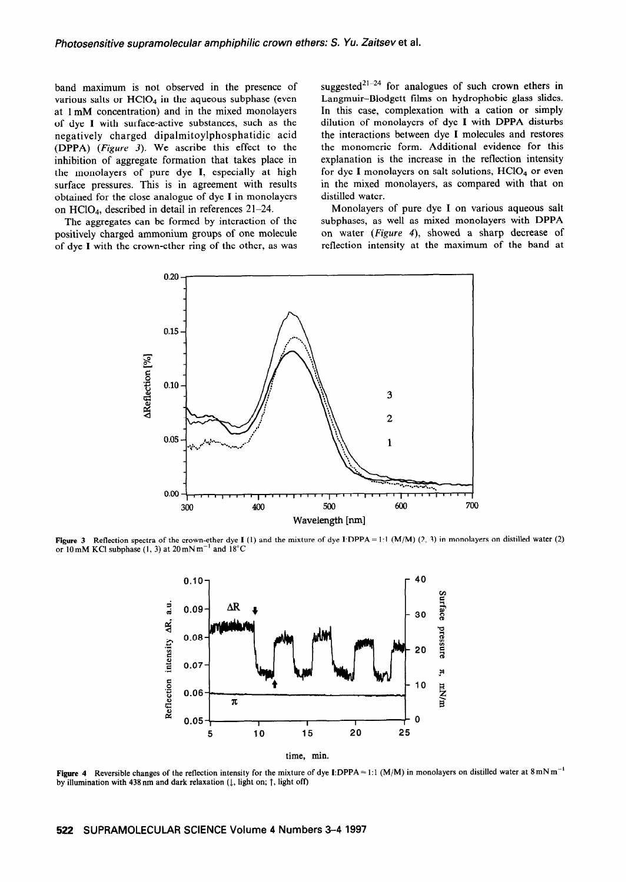band maximum is not observed in the presence of various salts or  $HC1O<sub>4</sub>$  in the aqueous subphase (even at 1 mM concentration) and in the mixed monolayers of dye I with surface-active substances, such as the negatively charged dipalmitoylphosphatidic acid (DPPA) (Figure 3). We ascribe this effect to the inhibition of aggregate formation that takes place in the monolayers of pure dye I, especially at high surface pressures. This is in agreement with results obtained for the close analogue of dye I in monolayers on  $HCIO<sub>4</sub>$ , described in detail in references 21-24.

The aggregates can be formed by interaction of the positively charged ammonium groups of one molecule of dye I with the crown-ether ring of the other, as was suggested<sup>21-24</sup> for analogues of such crown ethers in Langmuir-Blodgett films on hydrophobic glass slides. In this case, complexation with a cation or simply dilution of monolayers of dye I with DPPA disturbs the interactions between dye I molecules and restores the monomeric form. Additional evidence for this explanation is the increase in the reflection intensity for dye I monolayers on salt solutions,  $HCIO<sub>4</sub>$  or even in the mixed monolayers, as compared with that on distilled water.

Monolayers of pure dye I on various aqueous salt subphases, as well as mixed monolayers with DPPA on water (Figure 4), showed a sharp decrease of reflection intensity at the maximum of the band at



**Figure 3** Reflection spectra of the crown-ether dye I (1) and the mixture of dye I:DPPA = 1:1 (M/M) (2, 3) in monolayers on distilled water (2) or 10 mM KCl subphase (1, 3) at  $20 \text{ mN m}^{-1}$  and  $18^{\circ}$ C



Figure 4 Reversible changes of the reflection intensity for the mixture of dye I:DPPA = 1:1 (M/M) in monolayers on distilled water at  $8 \text{ mN m}^{-1}$ by illumination with 438 nm and dark relaxation  $(1,$  light on;  $\uparrow$ , light off)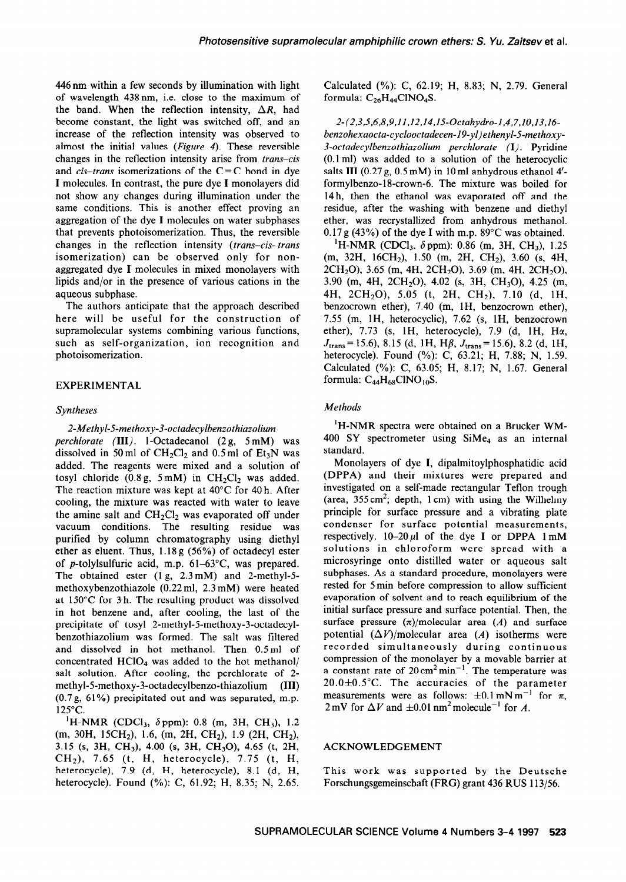446nm within a few seconds by illumination with light of wavelength 438 nm, i.e. close to the maximum of the band. When the reflection intensity,  $\Delta R$ , had become constant, the light was switched off, and an increase of the reflection intensity was observed to almost the initial values (Figure 4). These reversible changes in the reflection intensity arise from *trans-cis*  and  $cis$ -trans isomerizations of the  $C = C$  bond in dye I molecules. In contrast, the pure dye I monolayers did not show any changes during illumination under the same conditions. This is another effect proving an aggregation of the dye I molecules on water subphases that prevents photoisomerization. Thus, the reversible changes in the reflection intensity (trans-cis-trans isomerization) can be observed only for nonaggregated dye I molecules in mixed monolayers with lipids and/or in the presence of various cations in the aqueous subphase.

The authors anticipate that the approach described here will be useful for the construction of supramolecular systems combining various functions, such as self-organization, ion recognition and photoisomerization.

## EXPERIMENTAL

### *Syntheses*

*2-Methyl-5-methoxy-3-octadecylbenzothiazolium perchlorate* (III). 1-Octadecanol (2 g, 5 mM) was dissolved in 50 ml of  $CH_2Cl_2$  and 0.5 ml of  $Et_3N$  was added. The reagents were mixed and a solution of tosyl chloride  $(0.8g, 5mM)$  in CH<sub>2</sub>Cl<sub>2</sub> was added. The reaction mixture was kept at 40°C for 40 h. After cooling, the mixture was reacted with water to leave the amine salt and  $CH_2Cl_2$  was evaporated off under vacuum conditions. The resulting residue was purified by column chromatography using diethyl ether as eluent. Thus, 1.18 g (56%) of octadecyl ester of p-tolylsulfuric acid, m.p.  $61-63^{\circ}$ C, was prepared. The obtained ester (1 g, 2.3 mM) and 2-methyl-5 methoxybenzothiazole (0.22 ml, 2.3 mM) were heated at 150°C for 3 h. The resulting product was dissolved in hot benzene and, after cooling, the last of the precipitate of tosyl 2-methyl-5-methoxy-3-octadecylbenzothiazolium was formed. The salt was filtered and dissolved in hot methanol. Then 0.5ml of concentrated  $HClO<sub>4</sub>$  was added to the hot methanol/ salt solution. After cooling, the perchlorate of 2 methyl-5-methoxy-3-octadecylbenzo-thiazolium (III) (0.7g, 61%) precipitated out and was separated, m.p. 125°C.

<sup>1</sup>H-NMR (CDCl<sub>3</sub>,  $\delta$ ppm): 0.8 (m, 3H, CH<sub>3</sub>), 1.2  $(m, 30H, 15CH<sub>2</sub>), 1.6, (m, 2H, CH<sub>2</sub>), 1.9 (2H, CH<sub>2</sub>),$ 3.15 (s, 3H, CH<sub>3</sub>), 4.00 (s, 3H, CH<sub>3</sub>O), 4.65 (t, 2H, CHz), 7.65 (t. H, heterocycle), 7.75 (t, H, heterocycle), 7.9 (d, H, heterocycle), 8.1 (d, H, heterocycle). Found (%): C, 61.92; H, 8.35; N, 2.65.

Calculated (%): C, 62.19; H, 8.83; N, 2.79. General formula:  $C_{26}H_{44}CINO_{4}S$ .

*2-(2,3,5,6,8,9,11,12,14,15-0ctahydro-1,4,7,10,13,14 benzohexaocta-cyclooctadecen-19-yl)ethenyl-5-methoxy-3-octadecylbenzothiazolium perchlorate* (I). Pyridine (0.1 ml) was added to a solution of the heterocyclic salts III  $(0.27 g, 0.5 mM)$  in 10 ml anhydrous ethanol  $4'$ formylbenzo- 18-crown-6. The mixture was boiled for 14h, then the ethanol was evaporated off and the residue, after the washing with benzene and diethyl ether, was recrystallized from anhydrous methanol. 0.17g (43%) of the dye I with m.p. 89°C was obtained.

<sup>1</sup>H-NMR (CDCl<sub>3</sub>,  $\delta$  ppm): 0.86 (m, 3H, CH<sub>3</sub>), 1.25  $(m, 32H, 16CH_2), 1.50$   $(m, 2H, CH_2), 3.60$   $(s, 4H,$ 2CH<sub>2</sub>O), 3.65 (m, 4H, 2CH<sub>2</sub>O), 3.69 (m, 4H, 2CH<sub>2</sub>O), 3.90 (m, 4H, 2CH<sub>2</sub>O), 4.02 (s, 3H, CH<sub>3</sub>O), 4.25 (m, 4H, 2CH20), 5.05 (t, 2H, CH2), 7.10 (d, lH, benzocrown ether), 7.40 (m, lH, benzocrown ether), 7.55 (m, lH, heterocyclic), 7.62 (s, lH, benzocrown ether),  $7.73$  (s, 1H, heterocycle),  $7.9$  (d, 1H, H $\alpha$ ,  $J_{trans}$  = 15.6), 8.15 (d, 1H, H $\beta$ ,  $J_{trans}$  = 15.6), 8.2 (d, 1H, heterocycle). Found (%): C, 63.21; H, 7.88; N, 1.59. Calculated (%): C, 63.05; H, 8.17; N, 1.67. General formula:  $C_{44}H_{68}CINO_{10}S$ .

### *Methods*

'H-NMR spectra were obtained on a Brucker WM- $400$  SY spectrometer using SiMe<sub>4</sub> as an internal standard.

Monolayers of dye I, dipalmitoylphosphatidic acid (DPPA) and their mixtures were prepared and investigated on a self-made rectangular Teflon trough (area,  $355 \text{ cm}^2$ ; depth, 1 cm) with using the Wilhelmy principle for surface pressure and a vibrating plate condenser for surface potential measurements, respectively.  $10-20 \mu l$  of the dye I or DPPA  $1 \text{ mM}$ solutions in chloroform were spread with a microsyringe onto distilled water or aqueous salt subphases. As a standard procedure, monolayers were rested for 5 min before compression to allow sufficient evaporation of solvent and to reach equilibrium of the initial surface pressure and surface potential. Then, the surface pressure  $(\pi)/$ molecular area  $(A)$  and surface potential  $(\Delta V)/$ molecular area  $(A)$  isotherms were recorded simultaneously during continuous compression of the monolayer by a movable barrier at a constant rate of  $20 \text{ cm}^2 \text{ min}^{-1}$ . The temperature was  $20.0 \pm 0.5$ °C. The accuracies of the parameter measurements were as follows:  $\pm 0.1 \text{ mN m}^{-1}$  for  $\pi$ , 2 mV for  $\Delta V$  and  $\pm 0.01$  nm<sup>2</sup> molecule<sup>-1</sup> for A.

### ACKNOWLEDGEMENT

This work was supported by the Deutsche Forschungsgemeinschaft (FRG) grant 436 RUS 113/56.